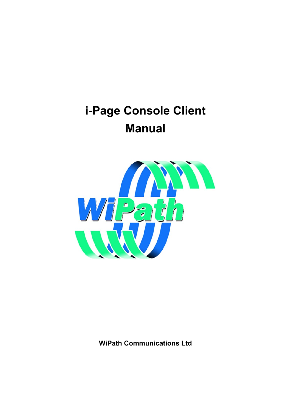# <span id="page-0-0"></span>**i-Page Console Client Manual**



**WiPath Communications Ltd**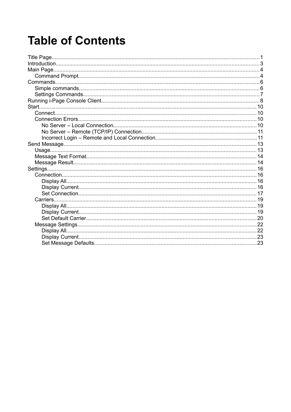# **Table of Contents**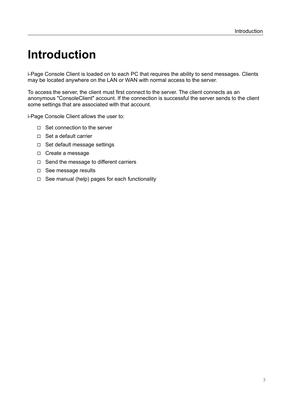# <span id="page-2-0"></span>**Introduction**

i-Page Console Client is loaded on to each PC that requires the ability to send messages. Clients may be located anywhere on the LAN or WAN with normal access to the server.

To access the server, the client must first connect to the server. The client connects as an anonymous "ConsoleClient" account. If the connection is successful the server sends to the client some settings that are associated with that account.

i-Page Console Client allows the user to:

- ◻ Set connection to the server
- ◻ Set a default carrier
- ◻ Set default message settings
- ◻ Create a message
- ◻ Send the message to different carriers
- ◻ See message results
- $\Box$  See manual (help) pages for each functionality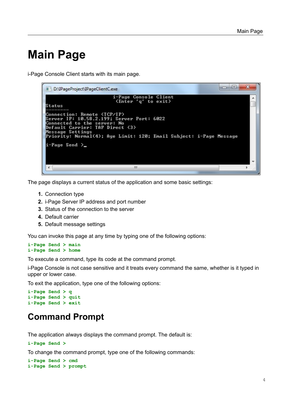# <span id="page-3-1"></span>**Main Page**

i-Page Console Client starts with its main page.

```
\overline{\phantom{a}}\overline{\mathbf{x}}D:\IPageProject\IPageClientC.exe
                                                              i-Page Console Client<br>(Enter 'q' to exit)
                                                                                                                                                                                            ▲
Status
Connection: Remote (TCP/IP)<br>Server IP: 10.58.2.199; Server Port: 6022<br>Connected to the server: No<br>Default Carrier: TAP Direct (3)<br>Message Settings<br>Priority: Normal(4); Age Limit: 120; Email Subject: i-Page Message
i-Page Send >_
   ł
                                                                                 Ш
```
The page displays a current status of the application and some basic settings:

- **1.** Connection type
- **2.** i-Page Server IP address and port number
- **3.** Status of the connection to the server
- **4.** Default carrier
- **5.** Default message settings

You can invoke this page at any time by typing one of the following options:

#### **i-Page Send > main i-Page Send > home**

To execute a command, type its code at the command prompt.

i-Page Console is not case sensitive and it treats every command the same, whether is it typed in upper or lower case.

To exit the application, type one of the following options:

```
i-Page Send > q
i-Page Send > quit
i-Page Send > exit
```
## <span id="page-3-0"></span>**Command Prompt**

The application always displays the command prompt. The default is:

```
i-Page Send >
```
To change the command prompt, type one of the following commands:

```
i-Page Send > cmd
i-Page Send > prompt
```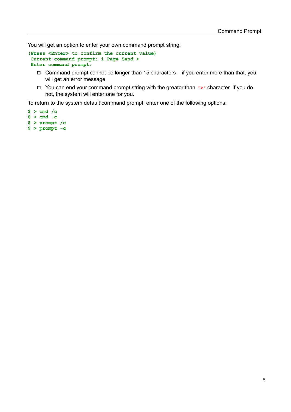You will get an option to enter your own command prompt string:

```
(Press <Enter> to confirm the current value)
 Current command prompt: i-Page Send >
 Enter command prompt:
```
- $\Box$  Command prompt cannot be longer than 15 characters if you enter more than that, you will get an error message
- ◻ You can end your command prompt string with the greater than *'>'* character. If you do not, the system will enter one for you.

To return to the system default command prompt, enter one of the following options:

 $$ > cmd /c$ **\$ > cmd -c \$ > prompt /c**

**\$ > prompt -c**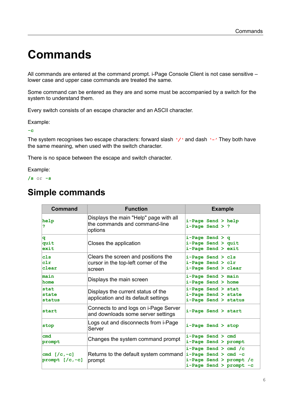# <span id="page-5-1"></span>**Commands**

All commands are entered at the command prompt. i-Page Console Client is not case sensitive – lower case and upper case commands are treated the same.

Some command can be entered as they are and some must be accompanied by a switch for the system to understand them.

Every switch consists of an escape character and an ASCII character.

Example:

**-c**

The system recognises two escape characters: forward slash *'/'* and dash *'-'* They both have the same meaning, when used with the switch character.

There is no space between the escape and switch character.

Example:

**/s** or **-s**

## <span id="page-5-0"></span>**Simple commands**

| Command                               | <b>Function</b>                                                                       | <b>Example</b>                                                                                           |
|---------------------------------------|---------------------------------------------------------------------------------------|----------------------------------------------------------------------------------------------------------|
| help<br>?                             | Displays the main "Help" page with all<br>the commands and command-line<br>options    | i-Page Send > help<br>$i$ -Page Send > ?                                                                 |
| q<br>quit<br>exit                     | Closes the application                                                                | $i$ -Page Send > q<br>i-Page Send > quit<br>i-Page Send > exit                                           |
| $c1s$<br>clr<br>clear                 | Clears the screen and positions the<br>cursor in the top-left corner of the<br>screen | i-Page Send > cls<br>i-Page Send > clr<br>i-Page Send > clear                                            |
| main<br>home                          | Displays the main screen                                                              | i-Page Send > main<br>i-Page Send > home                                                                 |
| stat<br>state<br>status               | Displays the current status of the<br>application and its default settings            | i-Page Send > stat<br>i-Page Send > state<br>i-Page Send > status                                        |
| start                                 | Connects to and logs on i-Page Server<br>and downloads some server settings           | i-Page Send > start                                                                                      |
| stop                                  | Logs out and disconnects from i-Page<br>Server                                        | i-Page Send > stop                                                                                       |
| cmd<br>prompt                         | Changes the system command prompt                                                     | $i$ -Page Send $>$ cmd<br>$i$ -Page Send > prompt                                                        |
| cmd $[(c, -c)]$<br>prompt $[(c, -c)]$ | Returns to the default system command<br>prompt                                       | $i$ -Page Send > cmd /c<br>$i$ -Page Send > cmd -c<br>i-Page Send > prompt /c<br>i-Page Send > prompt -c |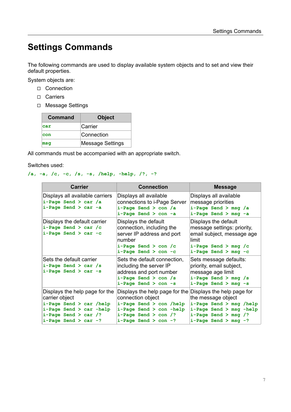## <span id="page-6-0"></span>**Settings Commands**

The following commands are used to display available system objects and to set and view their default properties.

System objects are:

- ◻ Connection
- ◻ Carriers
- ◻ Message Settings

| Command | <b>Object</b>           |
|---------|-------------------------|
| car     | Carrier                 |
| con     | Connection              |
| msq     | <b>Message Settings</b> |

All commands must be accompanied with an appropriate switch.

Switches used:

### **/a, -a, /c, -c, /s, -s, /help, -help, /?, -?**

| <b>Carrier</b>                                                                                                                                               | <b>Connection</b>                                                                                                                                               | <b>Message</b>                                                                                                                                                  |
|--------------------------------------------------------------------------------------------------------------------------------------------------------------|-----------------------------------------------------------------------------------------------------------------------------------------------------------------|-----------------------------------------------------------------------------------------------------------------------------------------------------------------|
| Displays all available carriers<br>$i$ -Page Send > car /a<br>$i$ -Page Send > car -a                                                                        | Displays all available<br>connections to i-Page Server<br>$i$ -Page Send > con /a<br>$i$ -Page Send > con -a                                                    | Displays all available<br>message priorities<br>i-Page Send > msg /a<br>i-Page Send > msg -a                                                                    |
| Displays the default carrier<br>$i$ -Page Send > car /c<br>$i$ -Page Send > car -c                                                                           | Displays the default<br>connection, including the<br>server IP address and port<br>number<br>$i$ -Page Send > con /c<br>$i$ -Page Send > con -c                 | Displays the default<br>message settings: priority,<br>email subject, message age<br>limit<br>i-Page Send > msg /c<br>i-Page Send > msg -c                      |
| Sets the default carrier<br>$i$ -Page Send > car /s<br>$i$ -Page Send > car -s                                                                               | Sets the default connection,<br>including the server IP<br>address and port number<br>$i$ -Page Send > con /s<br>$i$ -Page Send > con -s                        | Sets message defaults:<br>priority, email subject,<br>message age limit<br>i-Page Send > msg /s<br>i-Page Send > msg -s                                         |
| Displays the help page for the<br>carrier object<br>i-Page Send > car /help<br>i-Page Send > car -help<br>$i$ -Page Send > car /?<br>$i$ -Page Send > car -? | Displays the help page for the<br>connection object<br>i-Page Send > con /help<br>i-Page Send > con -help<br>$i$ -Page Send > con /?<br>$i$ -Page Send > con -? | Displays the help page for<br>the message object<br>i-Page Send > msg /help<br>$i$ -Page Send > msg -help<br>$i$ -Page Send > msg /?<br>$i$ -Page Send > msg -? |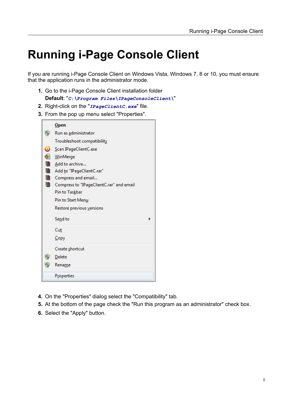# <span id="page-7-0"></span>**Running i-Page Console Client**

If you are running i-Page Console Client on Windows Vista, Windows 7, 8 or 10, you must ensure that the application runs in the administrator mode.

- **1.** Go to the i-Page Console Client installation folder **Default**: "*C:\Program Files\IPageConsoleClient\*"
- **2.** Right-click on the "*IPageClientC.exe*" file.
- **3.** From the pop up menu select "Properties".

|   | $Q$ pen                                  |  |
|---|------------------------------------------|--|
| Э | Run as administrator                     |  |
|   | Troubleshoot compatibility               |  |
| 0 | Scan IPageClientC.exe                    |  |
| € | WinMerge                                 |  |
|   | Add to archive                           |  |
| € | Add to "IPageClientC.rar"                |  |
| € | Compress and email                       |  |
| € | Compress to "IPageClientC.rar" and email |  |
|   | Pin to Taskbar                           |  |
|   | Pin to Start Menu                        |  |
|   | Restore previous versions                |  |
|   | Send to                                  |  |
|   | Cut                                      |  |
|   | Copy                                     |  |
|   | Create shortcut                          |  |
|   | Delete                                   |  |
|   | Rename                                   |  |
|   | Properties                               |  |

- **4.** On the "Properties" dialog select the "Compatibility" tab.
- **5.** At the bottom of the page check the "Run this program as an administrator" check box.
- **6.** Select the "Apply" button.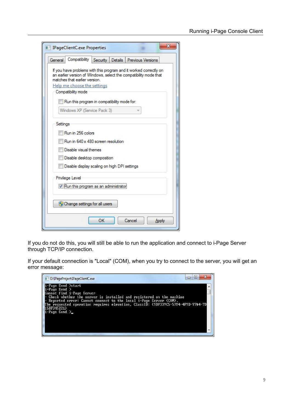| If you have problems with this program and it worked correctly on<br>an earlier version of Windows, select the compatibility mode that |  |
|----------------------------------------------------------------------------------------------------------------------------------------|--|
| matches that earlier version.                                                                                                          |  |
| Help me choose the settings<br>Compatibility mode                                                                                      |  |
|                                                                                                                                        |  |
| Run this program in compatibility mode for:                                                                                            |  |
| Windows XP (Service Pack 3)                                                                                                            |  |
|                                                                                                                                        |  |
| Settings                                                                                                                               |  |
| Run in 256 colors                                                                                                                      |  |
| Run in 640 x 480 screen resolution                                                                                                     |  |
| Disable visual themes                                                                                                                  |  |
| Disable desktop composition                                                                                                            |  |
| Disable display scaling on high DPI settings                                                                                           |  |
| Privilege Level                                                                                                                        |  |
| Run this program as an administrator                                                                                                   |  |
|                                                                                                                                        |  |
|                                                                                                                                        |  |
| Change settings for all users                                                                                                          |  |

If you do not do this, you will still be able to run the application and connect to i-Page Server through TCP/IP connection.

If your default connection is "Local" (COM), when you try to connect to the server, you will get an error message:

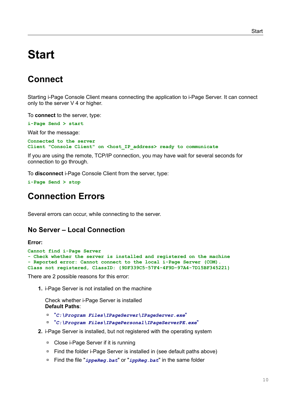# <span id="page-9-3"></span>**Start**

# <span id="page-9-2"></span>**Connect**

Starting i-Page Console Client means connecting the application to i-Page Server. It can connect only to the server V 4 or higher.

To **connect** to the server, type:

**i-Page Send > start**

Wait for the message:

**Connected to the server** Client "Console Client" on <host IP address> ready to communicate

If you are using the remote, TCP/IP connection, you may have wait for several seconds for connection to go through.

To **disconnect** i-Page Console Client from the server, type:

```
i-Page Send > stop
```
## <span id="page-9-1"></span>**Connection Errors**

Several errors can occur, while connecting to the server.

### <span id="page-9-0"></span>**No Server – Local Connection**

#### **Error:**

```
Cannot find i-Page Server
- Check whether the server is installed and registered on the machine
- Reported error: Cannot connect to the local i-Page Server (COM).
Class not registered, ClassID: {9DF339C5-57F4-4F9D-97A4-7D15BF345221}
```
There are 2 possible reasons for this error:

**1.** i-Page Server is not installed on the machine

Check whether i-Page Server is installed **Default Paths**:

- ◽ "*C:\Program Files\IPageServer\IPageServer.exe*"
- ◽ "*C:\Program Files\IPagePersonal\IPageServerPE.exe*"
- **2.** i-Page Server is installed, but not registered with the operating system
	- ◽ Close i-Page Server if it is running
	- ◽ Find the folder i-Page Server is installed in (see default paths above)
	- ◽ Find the file "*ippeReg.bat*" or "*ippReg.bat*" in the same folder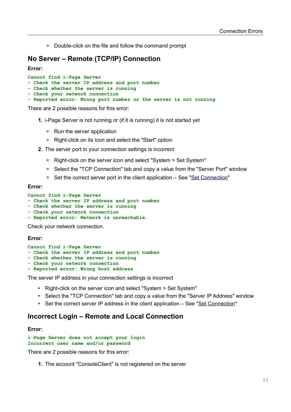□ Double-click on the file and follow the command prompt

### <span id="page-10-1"></span>**No Server – Remote (TCP/IP) Connection**

**Error:**

```
Cannot find i-Page Server
- Check the server IP address and port number
- Check whether the server is running
- Check your network connection
- Reported error: Wrong port number or the server is not running
```
There are 2 possible reasons for this error:

- **1.** i-Page Server is not running or (if it is running) it is not started yet
	- □ Run the server application
	- ◽ Right-click on its icon and select the "Start" option
- **2.** The server port in your connection settings is incorrect
	- ◽ Right-click on the server icon and select "System > Set System"
	- □ Select the "TCP Connection" tab and copy a value from the "Server Port" window
	- □ Set the correct server port in the client application See ["Set Connection](#page-16-0)"

#### **Error:**

#### **Cannot find i-Page Server**

- **Check the server IP address and port number**
- **Check whether the server is running**
- **Check your network connection**
- **Reported error: Network is unreachable.**

Check your network connection.

#### **Error:**

```
Cannot find i-Page Server
```
- **Check the server IP address and port number**
- **Check whether the server is running**
- **Check your network connection**
- **Reported error: Wrong host address**

The server IP address in your connection settings is incorrect

- Right-click on the server icon and select "System > Set System"
- Select the "TCP Connection" tab and copy a value from the "Server IP Address" window
- Set the correct server IP address in the client application See "[Set Connection](#page-16-0)"

## <span id="page-10-0"></span>**Incorrect Login – Remote and Local Connection**

### **Error:**

```
i-Page Server does not accept your login
Incorrect user name and/or password
```
There are 2 possible reasons for this error:

**1.** The account "ConsoleClient" is not registered on the server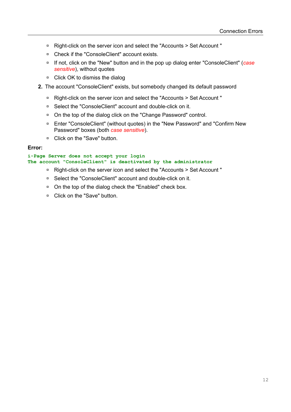- ◽ Right-click on the server icon and select the "Accounts > Set Account "
- ◽ Check if the "ConsoleClient" account exists.
- ◽ If not, click on the "New" button and in the pop up dialog enter "ConsoleClient" (*case sensitive*), without quotes
- □ Click OK to dismiss the dialog
- **2.** The account "ConsoleClient" exists, but somebody changed its default password
	- ◽ Right-click on the server icon and select the "Accounts > Set Account "
	- ◽ Select the "ConsoleClient" account and double-click on it.
	- □ On the top of the dialog click on the "Change Password" control.
	- ◽ Enter "ConsoleClient" (without quotes) in the "New Password" and "Confirm New Password" boxes (both *case sensitive*).
	- ◽ Click on the "Save" button.

### **Error:**

#### **i-Page Server does not accept your login The account "ConsoleClient" is deactivated by the administrator**

- ◽ Right-click on the server icon and select the "Accounts > Set Account "
- ◽ Select the "ConsoleClient" account and double-click on it.
- □ On the top of the dialog check the "Enabled" check box.
- ◽ Click on the "Save" button.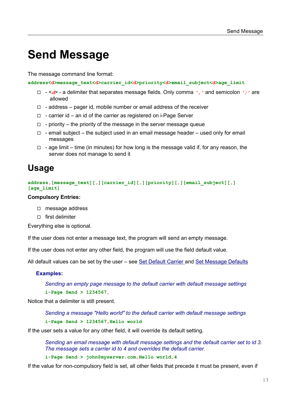# <span id="page-12-1"></span>**Send Message**

The message command line format:

**address<d>message\_text<d>carrier\_id<d>priority<d>email\_subject<d>age\_limit**

- ◻ <*d*> a delimiter that separates message fields. Only comma *','* and semicolon *';'* are allowed
- $\Box$  address pager id, mobile number or email address of the receiver
- ◻ carrier id an id of the carrier as registered on i-Page Server
- $\Box$  priority the priority of the message in the server message queue
- $\Box$  email subject the subject used in an email message header used only for email messages
- $\Box$  age limit time (in minutes) for how long is the message valid if, for any reason, the server does not manage to send it

## <span id="page-12-0"></span>**Usage**

**address,[message\_text][,][carrier\_id][,][priority][,][email\_subject][,] [age\_limit]**

#### **Compulsory Entries:**

- ◻ message address
- ◻ first delimiter

Everything else is optional.

If the user does not enter a message text, the program will send an empty message.

If the user does not enter any other field, the program will use the field default value.

All default values can be set by the user – see [Set Default Carrier](#page-19-0) and [Set Message Defaults](#page-22-0)

### **Examples:**

*Sending an empty page message to the default carrier with default message settings* **i-Page Send > 1234567,**

Notice that a delimiter is still present.

*Sending a message "Hello world" to the default carrier with default message settings* **i-Page Send > 1234567,Hello world**

If the user sets a value for any other field, it will override its default setting.

*Sending an email message with default message settings and the default carrier set to id 3. The message sets a carrier id to 4 and overrides the default carrier.* 

**i-Page Send > john@myserver.com,Hello world,4** 

If the value for non-compulsory field is set, all other fields that precede it must be present, even if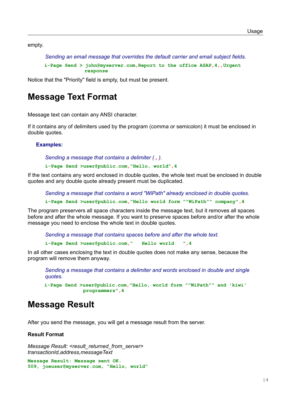empty.

*Sending an email message that overrides the default carrier and email subject fields.*

**i-Page Send > john@myserver.com,Report to the office ASAP,4,,Urgent response**

Notice that the "Priority" field is empty, but must be present.

## <span id="page-13-1"></span>**Message Text Format**

Message text can contain any ANSI character.

If it contains any of delimiters used by the program (comma or semicolon) it must be enclosed in double quotes.

#### **Examples:**

*Sending a message that contains a delimiter ( , ).*

**i-Page Send >user@public.com,"Hello, world",4** 

If the text contains any word enclosed in double quotes, the whole text must be enclosed in double quotes and any double quote already present must be duplicated.

*Sending a message that contains a word "WiPath" already enclosed in double quotes.* 

**i-Page Send >user@public.com,"Hello world form ""WiPath"" company",4** 

The program preservers all space characters inside the message text, but it removes all spaces before and after the whole message. If you want to preserve spaces before and/or after the whole message you need to enclose the whole text in double quotes.

*Sending a message that contains spaces before and after the whole text.* **i-Page Send >user@public.com," Hello world ",4** 

In all other cases enclosing the text in double quotes does not make any sense, because the program will remove them anyway.

*Sending a message that contains a delimiter and words enclosed in double and single quotes.*

**i-Page Send >user@public.com,"Hello, world form ""WiPath"" and 'kiwi' programmers",4** 

## <span id="page-13-0"></span>**Message Result**

After you send the message, you will get a message result from the server.

#### **Result Format**

```
Message Result: <result_returned_from_server>
transactionId,address,messageText
```

```
Message Result: Message sent OK.
509, joeuser@myserver.com, "Hello, world"
```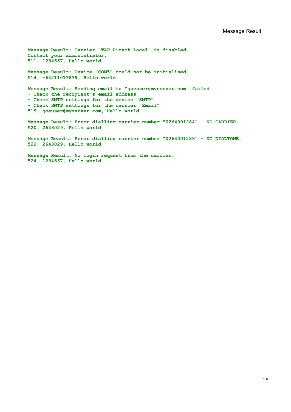**Message Result: Carrier "TAP Direct Local" is disabled. Contact your administrator. 511, 1234567, Hello world Message Result: Device "COM5" could not be initialised. 514, +64211013839, Hello world Message Result: Sending email to "joeuser@myserver.com" failed. - Check the recipient's email address - Check SMTP settings for the device "SMTP" - Check SMTP settings for the carrier "Email" 519, joeuser@myserver.com, Hello world Message Result: Error dialling carrier number "0264001284" - NO CARRIER. 520, 2643029, Hello world**

**Message Result: Error dialling carrier number "0264001283" - NO DIALTONE. 522, 2643029, Hello world**

**Message Result: No login request from the carrier. 524, 1234567, Hello world**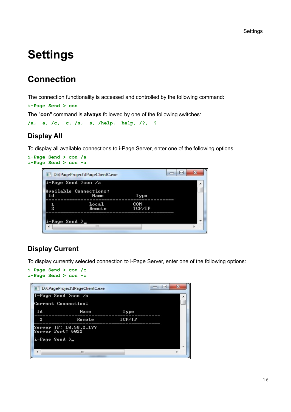# <span id="page-15-3"></span>**Settings**

# <span id="page-15-2"></span>**Connection**

The connection functionality is accessed and controlled by the following command:

**i-Page Send > con**

The "**con**" command is **always** followed by one of the following switches:

```
/a, -a, /c, -c, /s, -s, /help, -help, /?, -?
```
### <span id="page-15-1"></span>**Display All**

To display all available connections to i-Page Server, enter one of the following options:





## <span id="page-15-0"></span>**Display Current**

To display currently selected connection to i-Page Server, enter one of the following options:

```
i-Page Send > con /c
i-Page Send > con -c
```
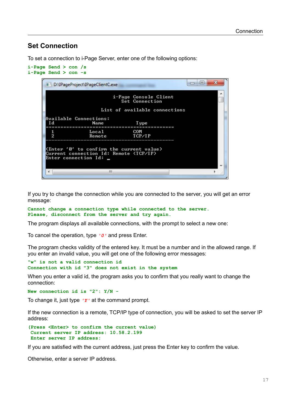### <span id="page-16-0"></span>**Set Connection**

To set a connection to i-Page Server, enter one of the following options:

```
i-Page Send > con /s
i-Page Send > con -s
                                                                                       \Box\Box\overline{\mathbf{x}}D:\IPageProject\IPageClientC.exe
                                                                                                        ▲
                                              i-Page Console Client<br>Set Connection
                                       List of available connections
         Available Connections:
                                                          Type
          I d
                                   Name
          --------------
                                ==================
                                                                ==========
                                                         COM
            \frac{1}{2}LocalRemote
                                                         TCP/IP
         (Enter '0' to confirm the current value)<br>Current connection Id: Remote (TCP/IP)<br>Enter connection Id: _
                                            \mathbf{H}\overline{a}
```
If you try to change the connection while you are connected to the server, you will get an error message:

```
Cannot change a connection type while connected to the server.
Please, disconnect from the server and try again.
```
The program displays all available connections, with the prompt to select a new one:

To cancel the operation, type *'0'* and press Enter.

The program checks validity of the entered key. It must be a number and in the allowed range. If you enter an invalid value, you will get one of the following error messages:

```
"w" is not a valid connection id 
Connection with id "3" does not exist in the system
```
When you enter a valid id, the program asks you to confirm that you really want to change the connection:

**New connection id is "2": Y/N -**

To change it, just type *'Y'* at the command prompt.

If the new connection is a remote, TCP/IP type of connection, you will be asked to set the server IP address:

```
(Press <Enter> to confirm the current value)
 Current server IP address: 10.58.2.199
 Enter server IP address:
```
If you are satisfied with the current address, just press the Enter key to confirm the value.

Otherwise, enter a server IP address.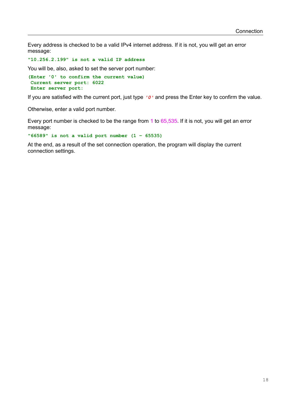Every address is checked to be a valid IPv4 internet address. If it is not, you will get an error message:

**"10.256.2.199" is not a valid IP address**

You will be, also, asked to set the server port number:

**(Enter '0' to confirm the current value) Current server port: 6022 Enter server port:**

If you are satisfied with the current port, just type *'0'* and press the Enter key to confirm the value.

Otherwise, enter a valid port number.

Every port number is checked to be the range from 1 to 65,535. If it is not, you will get an error message:

**"66589" is not a valid port number (1 – 65535)**

At the end, as a result of the set connection operation, the program will display the current connection settings.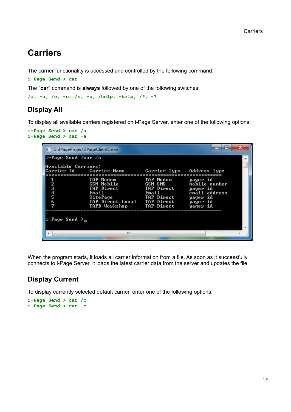## <span id="page-18-2"></span>**Carriers**

The carrier functionality is accessed and controlled by the following command:

**i-Page Send > car**

The "**car**" command is **always** followed by one of the following switches:

```
/a, -a, /c, -c, /s, -s, /help, -help, /?, -?
```
## <span id="page-18-1"></span>**Display All**

To display all available carriers registered on i-Page Server, enter one of the following options:

```
i-Page Send > car /a
i-Page Send > car -a
```

|                                            | D:\IPageProject\IPageClientC.exe                                                                           |                                                                         | łе                                                                                         |
|--------------------------------------------|------------------------------------------------------------------------------------------------------------|-------------------------------------------------------------------------|--------------------------------------------------------------------------------------------|
| i−Page Send >car ⁄a<br>Available Carriers: | Carrier Id - Carrier Name - Carrier                                                                        |                                                                         | Carrier Type Address Type                                                                  |
| 2<br>3<br>4<br>5<br>6<br>7                 | TAP Modem<br>GSM Mobile<br>TAP Direct<br>Email<br>SitePage<br>TAP Direct Local TAP Direct<br>TAPD Workshop | TAP Modem<br>GSM SMS<br>TAP Direct<br>Email<br>TAP Direct<br>TAP Direct | pager id<br>mobile number<br>pager id<br>email address<br>pager id<br>pager id<br>pager id |
| i-Page Send >_                             |                                                                                                            |                                                                         |                                                                                            |
|                                            | ш                                                                                                          |                                                                         |                                                                                            |

When the program starts, it loads all carrier information from a file. As soon as it successfully connects to i-Page Server, it loads the latest carrier data from the server and updates the file.

## <span id="page-18-0"></span>**Display Current**

To display currently selected default carrier, enter one of the following options:

```
i-Page Send > car /c
i-Page Send > car -c
```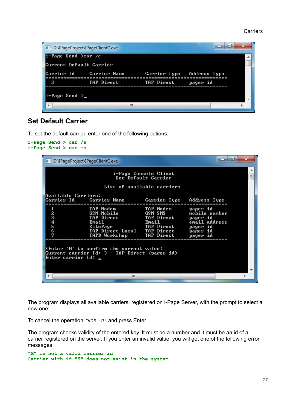#### **Carriers**

| Current Default Carrier |                           |                           |          |  |
|-------------------------|---------------------------|---------------------------|----------|--|
|                         | Carrier Id — Carrier Name | Carrier Type Address Type |          |  |
| 3                       | TAP Direct                | TAP Direct                | pager id |  |

### <span id="page-19-0"></span>**Set Default Carrier**

To set the default carrier, enter one of the following options:

```
i-Page Send > car /s
i-Page Send > car -s
```

|                     | D:\IPageProject\IPageClientC.exe                                                                                      |                                                                            | E                                                                                          |  |
|---------------------|-----------------------------------------------------------------------------------------------------------------------|----------------------------------------------------------------------------|--------------------------------------------------------------------------------------------|--|
|                     |                                                                                                                       | i-Page Console Client<br>Set Default Carrier<br>List of available carriers |                                                                                            |  |
| Available Carriers: | Carrier Id - Carrier Name -                                                                                           | Carrier Type Address Type                                                  |                                                                                            |  |
| 2<br>345<br>6<br>7  | TAP Modem<br>GSM Mobile<br>TAP Direct<br>Email<br>SitePage<br>TAP Direct Local TAP Direct<br>TAPD Workshop TAP Direct | TAP Modem<br>GSM SMS<br>TAP Direct<br>Email<br>TAP Direct                  | pager id<br>mobile number<br>pager id<br>email address<br>pager id<br>pager id<br>pager id |  |
| Enter carrier Id: _ | KEnter '0' to confirm the current value)<br>Current carrier Id: 3 - TAP Direct (pager id)                             |                                                                            |                                                                                            |  |
|                     | ш                                                                                                                     |                                                                            |                                                                                            |  |

The program displays all available carriers, registered on i-Page Server, with the prompt to select a new one:

To cancel the operation, type *'0'* and press Enter.

The program checks validity of the entered key. It must be a number and it must be an id of a carrier registered on the server. If you enter an invalid value, you will get one of the following error messages:

```
"M" is not a valid carrier id
Carrier with id "9" does not exist in the system
```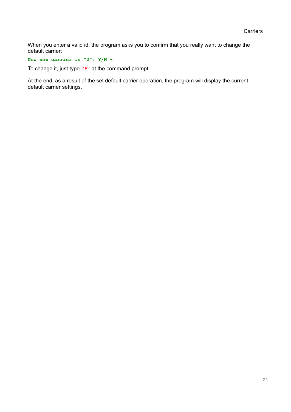When you enter a valid id, the program asks you to confirm that you really want to change the default carrier:

**New new carrier is "2": Y/N -**

To change it, just type *'Y'* at the command prompt.

At the end, as a result of the set default carrier operation, the program will display the current default carrier settings.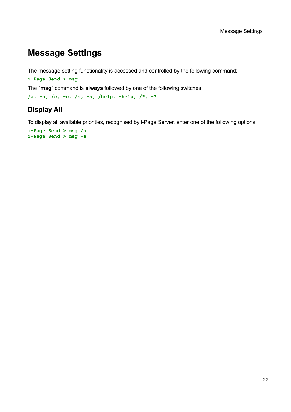## <span id="page-21-1"></span>**Message Settings**

The message setting functionality is accessed and controlled by the following command:

**i-Page Send > msg**

The "**msg**" command is **always** followed by one of the following switches:

```
/a, -a, /c, -c, /s, -s, /help, -help, /?, -?
```
## <span id="page-21-0"></span>**Display All**

To display all available priorities, recognised by i-Page Server, enter one of the following options:

**i-Page Send > msg /a i-Page Send > msg -a**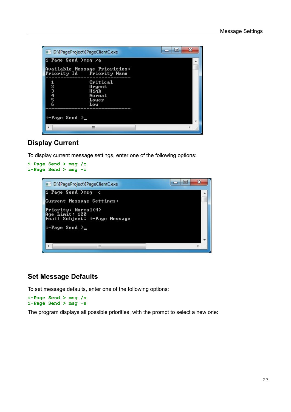| D:\IPageProject\IPageClientC.exe                                                                                                                            | Ж<br>Ξ |  |
|-------------------------------------------------------------------------------------------------------------------------------------------------------------|--------|--|
| i-Page Send >msg /a<br>Available Message Priorities:<br>Priority Id - Priority Name<br>Critical<br>23456<br>Urgent<br>High<br><b>Normal</b><br>Lower<br>Low |        |  |
| $i$ -Page Send $\geq$<br>ш                                                                                                                                  |        |  |

## <span id="page-22-1"></span>**Display Current**

To display current message settings, enter one of the following options:



## <span id="page-22-0"></span>**Set Message Defaults**

To set message defaults, enter one of the following options:

**i-Page Send > msg /s i-Page Send > msg -s**

The program displays all possible priorities, with the prompt to select a new one: